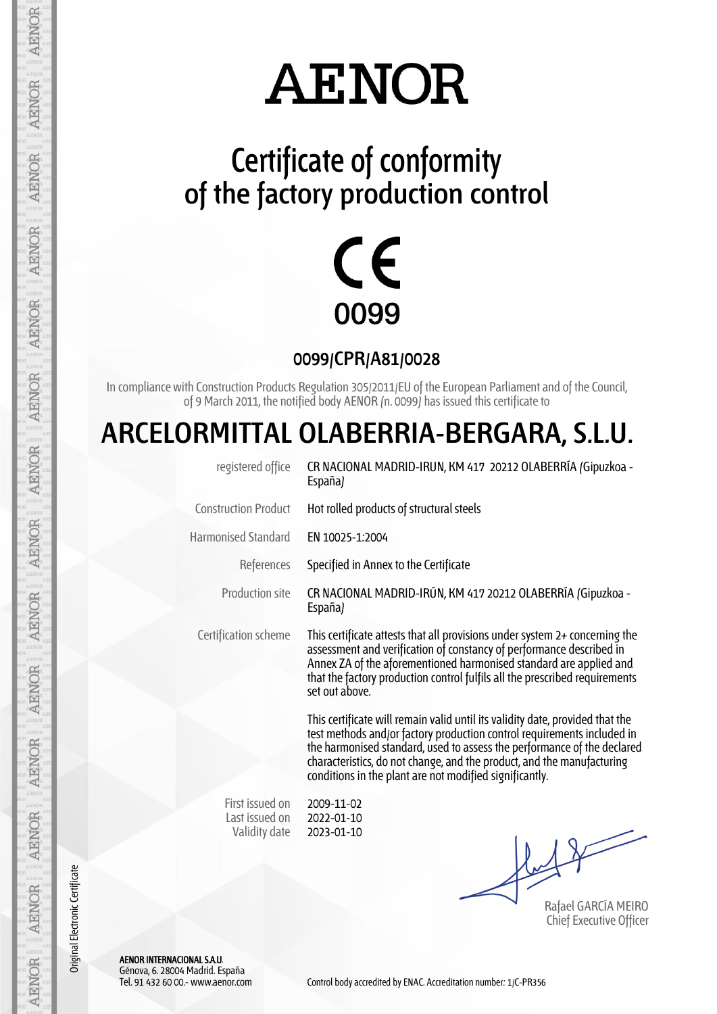## **AENOR**

### **Certificate of conformity of the factory production control**



**0099/CPR/A81/0028**

In compliance with Construction Products Regulation 305/2011/EU of the European Parliament and of the Council, of 9 March 2011, the notified body AENOR (n. 0099) has issued this certificate to

#### **ARCELORMITTAL OLABERRIA-BERGARA, S.L.U.**

| registered office                                  | CR NACIONAL MADRID-IRUN, KM 417 20212 OLABERRÍA (Gipuzkoa -<br>España)                                                                                                                                                                                                                                                                                                   |  |  |  |  |
|----------------------------------------------------|--------------------------------------------------------------------------------------------------------------------------------------------------------------------------------------------------------------------------------------------------------------------------------------------------------------------------------------------------------------------------|--|--|--|--|
| <b>Construction Product</b>                        | Hot rolled products of structural steels                                                                                                                                                                                                                                                                                                                                 |  |  |  |  |
| <b>Harmonised Standard</b>                         | EN 10025-1.2004                                                                                                                                                                                                                                                                                                                                                          |  |  |  |  |
| References                                         | Specified in Annex to the Certificate                                                                                                                                                                                                                                                                                                                                    |  |  |  |  |
| <b>Production site</b>                             | CR NACIONAL MADRID-IRÚN, KM 417 20212 OLABERRÍA (Gipuzkoa -<br>España)                                                                                                                                                                                                                                                                                                   |  |  |  |  |
| Certification scheme                               | This certificate attests that all provisions under system $2+$ concerning the<br>assessment and verification of constancy of performance described in<br>Annex ZA of the aforementioned harmonised standard are applied and<br>that the factory production control fulfils all the prescribed requirements<br>set out above.                                             |  |  |  |  |
|                                                    | This certificate will remain valid until its validity date, provided that the<br>test methods and/or factory production control requirements included in<br>the harmonised standard, used to assess the performance of the declared<br>characteristics, do not change, and the product, and the manufacturing<br>conditions in the plant are not modified significantly. |  |  |  |  |
| First issued on<br>Last issued on<br>Validity date | 2009-11-02<br>2022-01-10<br>2023-01-10                                                                                                                                                                                                                                                                                                                                   |  |  |  |  |

Rafael GARCÍA MEIRO Chief Executive Officer

AENOR INTERNACIONAL S.A.U. Génova, 6. 28004 Madrid. España

Original Electronic Certificate

Original Electronic Certificate

AENOR

**AENOR** 

AENOR

**AENOR** 

**AENOR** 

**AENOR** 

AENOR

**AENOR** 

**AENOR** 

**AENOR** 

**AENOR** 

**AENOR** 

**AENOR** 

AENOR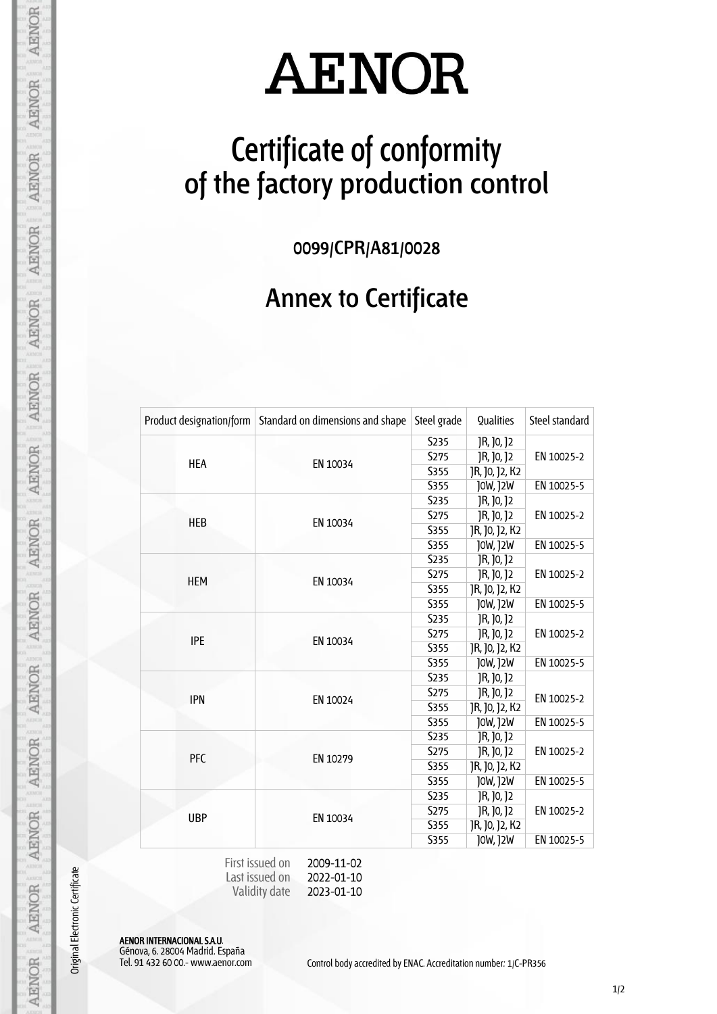# **AENOR**

### **Certificate of conformity of the factory production control**

**0099/CPR/A81/0028**

#### **Annex to Certificate**

| Product designation/form | Standard on dimensions and shape | Steel grade      | Qualities      | Steel standard |
|--------------------------|----------------------------------|------------------|----------------|----------------|
| <b>HEA</b>               | EN 10034                         | S <sub>235</sub> | JR, J0, J2     | EN 10025-2     |
|                          |                                  | S275             | JR, J0, J2     |                |
|                          |                                  | S355             | JR, J0, J2, K2 |                |
|                          |                                  | <b>S355</b>      | J0W, J2W       | EN 10025-5     |
| <b>HEB</b>               | EN 10034                         | S <sub>235</sub> | JR, J0, J2     | EN 10025-2     |
|                          |                                  | S275             | JR, J0, J2     |                |
|                          |                                  | S355             | JR, J0, J2, K2 |                |
|                          |                                  | <b>S355</b>      | J0W, J2W       | EN 10025-5     |
|                          | EN 10034                         | S235             | JR, JO, J2     | EN 10025-2     |
| <b>HEM</b>               |                                  | S275             | JR, JO, J2     |                |
|                          |                                  | S355             | JR, J0, J2, K2 |                |
|                          |                                  | S355             | J0W, J2W       | EN 10025-5     |
|                          |                                  | S235             | JR, J0, J2     | EN 10025-2     |
| <b>IPE</b>               | EN 10034                         | S275             | JR, J0, J2     |                |
|                          |                                  | S355             | JR, J0, J2, K2 |                |
|                          |                                  | S355             | J0W, J2W       | EN 10025-5     |
| <b>IPN</b>               | EN 10024                         | S235             | JR, J0, J2     |                |
|                          |                                  | S275             | JR, J0, J2     | EN 10025-2     |
|                          |                                  | S355             | JR, J0, J2, K2 |                |
|                          |                                  | <b>S355</b>      | J0W, J2W       | EN 10025-5     |
| <b>PFC</b>               | EN 10279                         | <b>S235</b>      | JR, J0, J2     |                |
|                          |                                  | <b>S275</b>      | JR, J0, J2     | EN 10025-2     |
|                          |                                  | S355             | JR, J0, J2, K2 |                |
|                          |                                  | <b>S355</b>      | J0W, J2W       | EN 10025-5     |
| <b>UBP</b>               | EN 10034                         | <b>S235</b>      | JR, J0, J2     |                |
|                          |                                  | S275             | JR, J0, J2     | EN 10025-2     |
|                          |                                  | S355             | JR, J0, J2, K2 |                |
|                          |                                  | S355             | J0W, J2W       | EN 10025-5     |

Last issued on Validity date 2022-01-10 2023-01-10

AENOR INTERNACIONAL S.A.U.

Génova, 6. 28004 Madrid. España

Original Electronic Certificate

**AENOR** 

**AENOR** 

AENOR

**AENOR** 

**AENOR** 

**AENOR** 

**AENOR** 

**AENOR** 

**AENOR** 

**AENOR** 

**AENOR** 

**AENOR** 

**AENOR** 

**AENOR** 

Control body accredited by ENAC. Accreditation number: 1/C-PR356